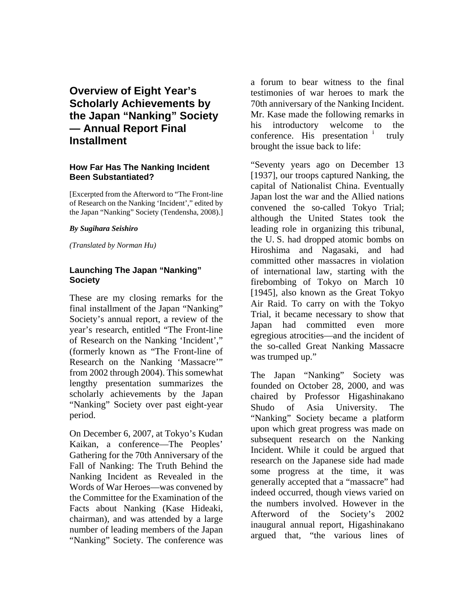# **Overview of Eight Year's Scholarly Achievements by the Japan "Nanking" Society — Annual Report Final Installment**

#### **How Far Has The Nanking Incident Been Substantiated?**

[Excerpted from the Afterword to "The Front-line of Research on the Nanking 'Incident'," edited by the Japan "Nanking" Society (Tendensha, 2008).]

#### *By Sugihara Seishiro*

*(Translated by Norman Hu)* 

### **Launching The Japan "Nanking" Society**

These are my closing remarks for the final installment of the Japan "Nanking" Society's annual report, a review of the year's research, entitled "The Front-line of Research on the Nanking 'Incident'," (formerly known as "The Front-line of Research on the Nanking 'Massacre'" from 2002 through 2004). This somewhat lengthy presentation summarizes the scholarly achievements by the Japan "Nanking" Society over past eight-year period.

On December 6, 2007, at Tokyo's Kudan Kaikan, a conference—The Peoples' Gathering for the 70th Anniversary of the Fall of Nanking: The Truth Behind the Nanking Incident as Revealed in the Words of War Heroes—was convened by the Committee for the Examination of the Facts about Nanking (Kase Hideaki, chairman), and was attended by a large number of leading members of the Japan "Nanking" Society. The conference was

a forum to bear witness to the final testimonies of war heroes to mark the 70th anniversary of the Nanking Incident. Mr. Kase made the following remarks in his introductory welcome to the conference. H[i](#page-17-0)s presentation  $\frac{1}{1}$  truly brought the issue back to life:

"Seventy years ago on December 13 [1937], our troops captured Nanking, the capital of Nationalist China. Eventually Japan lost the war and the Allied nations convened the so-called Tokyo Trial; although the United States took the leading role in organizing this tribunal, the U. S. had dropped atomic bombs on Hiroshima and Nagasaki, and had committed other massacres in violation of international law, starting with the firebombing of Tokyo on March 10 [1945], also known as the Great Tokyo Air Raid. To carry on with the Tokyo Trial, it became necessary to show that Japan had committed even more egregious atrocities—and the incident of the so-called Great Nanking Massacre was trumped up."

The Japan "Nanking" Society was founded on October 28, 2000, and was chaired by Professor Higashinakano Shudo of Asia University. The "Nanking" Society became a platform upon which great progress was made on subsequent research on the Nanking Incident. While it could be argued that research on the Japanese side had made some progress at the time, it was generally accepted that a "massacre" had indeed occurred, though views varied on the numbers involved. However in the Afterword of the Society's 2002 inaugural annual report, Higashinakano argued that, "the various lines of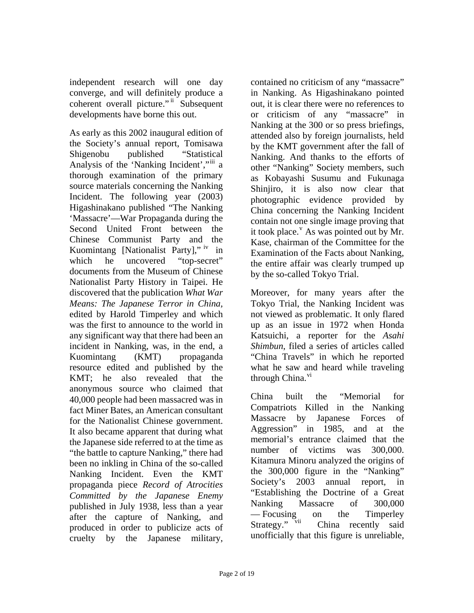independent research will one day converge, and will definitely produce a coherent overall picture." [ii](#page-17-1) Subsequent developments have borne this out.

As early as this 2002 inaugural edition of the Society's annual report, Tomisawa Shigenobu published "Statistical Analysis of the 'Nanking Incident',"<sup>[iii](#page-18-0)</sup> a thorough examination of the primary source materials concerning the Nanking Incident. The following year (2003) Higashinakano published "The Nanking 'Massacre'—War Propaganda during the Second United Front between the Chinese Communist Party and the Kuomintang [Nationalist Party]," [iv](#page-18-0) in which he uncovered "top-secret" documents from the Museum of Chinese Nationalist Party History in Taipei. He discovered that the publication *What War Means: The Japanese Terror in China,* edited by Harold Timperley and which was the first to announce to the world in any significant way that there had been an incident in Nanking, was, in the end, a Kuomintang (KMT) propaganda resource edited and published by the KMT; he also revealed that the anonymous source who claimed that 40,000 people had been massacred was in fact Miner Bates, an American consultant for the Nationalist Chinese government. It also became apparent that during what the Japanese side referred to at the time as "the battle to capture Nanking," there had been no inkling in China of the so-called Nanking Incident. Even the KMT propaganda piece *Record of Atrocities Committed by the Japanese Enemy* published in July 1938, less than a year after the capture of Nanking, and produced in order to publicize acts of cruelty by the Japanese military,

contained no criticism of any "massacre" in Nanking. As Higashinakano pointed out, it is clear there were no references to or criticism of any "massacre" in Nanking at the 300 or so press briefings, attended also by foreign journalists, held by the KMT government after the fall of Nanking. And thanks to the efforts of other "Nanking" Society members, such as Kobayashi Susumu and Fukunaga Shinjiro, it is also now clear that photographic evidence provided by China concerning the Nanking Incident contain not one single image proving that it took place.  $\overline{Y}$  $\overline{Y}$  $\overline{Y}$  As was pointed out by Mr. Kase, chairman of the Committee for the Examination of the Facts about Nanking, the entire affair was clearly trumped up by the so-called Tokyo Trial.

Moreover, for many years after the Tokyo Trial, the Nanking Incident was not viewed as problematic. It only flared up as an issue in 1972 when Honda Katsuichi, a reporter for the *Asahi Shimbun*, filed a series of articles called "China Travels" in which he reported what he saw and heard while traveling through China.<sup>[vi](#page-18-0)</sup>

China built the "Memorial for Compatriots Killed in the Nanking Massacre by Japanese Forces of Aggression" in 1985, and at the memorial's entrance claimed that the number of victims was 300,000. Kitamura Minoru analyzed the origins of the 300,000 figure in the "Nanking" Society's 2003 annual report, in "Establishing the Doctrine of a Great Nanking Massacre of 300,000 — Focusing on the Timperley<br>Strategy." <sup>vii</sup> China recently said China recently said unofficially that this figure is unreliable,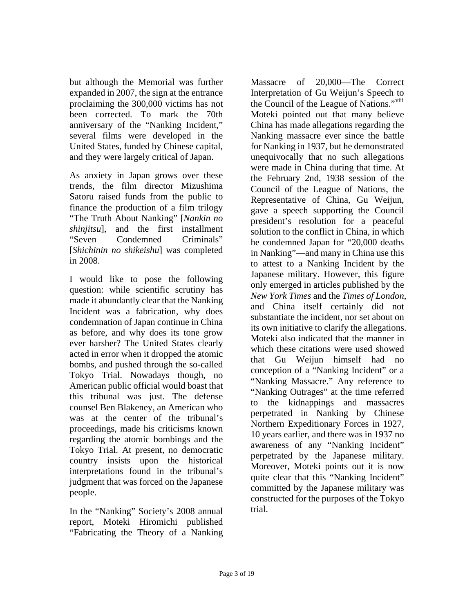but although the Memorial was further expanded in 2007, the sign at the entrance proclaiming the 300,000 victims has not been corrected. To mark the 70th anniversary of the "Nanking Incident," several films were developed in the United States, funded by Chinese capital, and they were largely critical of Japan.

As anxiety in Japan grows over these trends, the film director Mizushima Satoru raised funds from the public to finance the production of a film trilogy "The Truth About Nanking" [*Nankin no shinjitsu*], and the first installment "Seven Condemned Criminals" [*Shichinin no shikeishu*] was completed in 2008.

I would like to pose the following question: while scientific scrutiny has made it abundantly clear that the Nanking Incident was a fabrication, why does condemnation of Japan continue in China as before, and why does its tone grow ever harsher? The United States clearly acted in error when it dropped the atomic bombs, and pushed through the so-called Tokyo Trial. Nowadays though, no American public official would boast that this tribunal was just. The defense counsel Ben Blakeney, an American who was at the center of the tribunal's proceedings, made his criticisms known regarding the atomic bombings and the Tokyo Trial. At present, no democratic country insists upon the historical interpretations found in the tribunal's judgment that was forced on the Japanese people.

In the "Nanking" Society's 2008 annual report, Moteki Hiromichi published "Fabricating the Theory of a Nanking

Massacre of 20,000—The Correct Interpretation of Gu Weijun's Speech to the Council of the League of Nations."<sup>[viii](#page-18-0)</sup> Moteki pointed out that many believe China has made allegations regarding the Nanking massacre ever since the battle for Nanking in 1937, but he demonstrated unequivocally that no such allegations were made in China during that time. At the February 2nd, 1938 session of the Council of the League of Nations, the Representative of China, Gu Weijun, gave a speech supporting the Council president's resolution for a peaceful solution to the conflict in China, in which he condemned Japan for "20,000 deaths in Nanking"—and many in China use this to attest to a Nanking Incident by the Japanese military. However, this figure only emerged in articles published by the *New York Times* and the *Times of London*, and China itself certainly did not substantiate the incident, nor set about on its own initiative to clarify the allegations. Moteki also indicated that the manner in which these citations were used showed that Gu Weijun himself had no conception of a "Nanking Incident" or a "Nanking Massacre." Any reference to "Nanking Outrages" at the time referred to the kidnappings and massacres perpetrated in Nanking by Chinese Northern Expeditionary Forces in 1927, 10 years earlier, and there was in 1937 no awareness of any "Nanking Incident" perpetrated by the Japanese military. Moreover, Moteki points out it is now quite clear that this "Nanking Incident" committed by the Japanese military was constructed for the purposes of the Tokyo trial.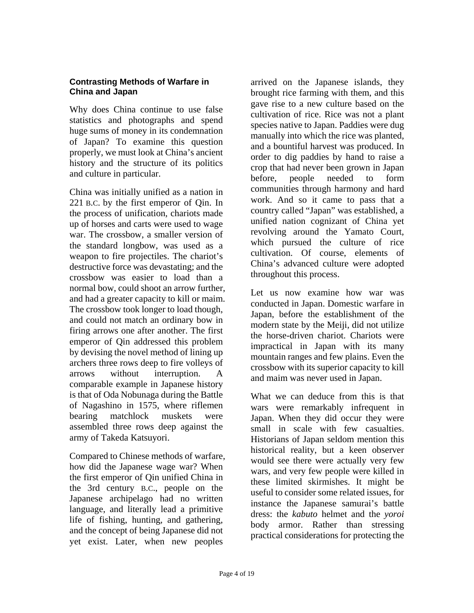# **Contrasting Methods of Warfare in China and Japan**

Why does China continue to use false statistics and photographs and spend huge sums of money in its condemnation of Japan? To examine this question properly, we must look at China's ancient history and the structure of its politics and culture in particular.

China was initially unified as a nation in 221 B.C. by the first emperor of Qin. In the process of unification, chariots made up of horses and carts were used to wage war. The crossbow, a smaller version of the standard longbow, was used as a weapon to fire projectiles. The chariot's destructive force was devastating; and the crossbow was easier to load than a normal bow, could shoot an arrow further, and had a greater capacity to kill or maim. The crossbow took longer to load though, and could not match an ordinary bow in firing arrows one after another. The first emperor of Qin addressed this problem by devising the novel method of lining up archers three rows deep to fire volleys of arrows without interruption. A comparable example in Japanese history is that of Oda Nobunaga during the Battle of Nagashino in 1575, where riflemen bearing matchlock muskets were assembled three rows deep against the army of Takeda Katsuyori.

Compared to Chinese methods of warfare, how did the Japanese wage war? When the first emperor of Qin unified China in the 3rd century B.C., people on the Japanese archipelago had no written language, and literally lead a primitive life of fishing, hunting, and gathering, and the concept of being Japanese did not yet exist. Later, when new peoples

arrived on the Japanese islands, they brought rice farming with them, and this gave rise to a new culture based on the cultivation of rice. Rice was not a plant species native to Japan. Paddies were dug manually into which the rice was planted, and a bountiful harvest was produced. In order to dig paddies by hand to raise a crop that had never been grown in Japan before, people needed to form communities through harmony and hard work. And so it came to pass that a country called "Japan" was established, a unified nation cognizant of China yet revolving around the Yamato Court, which pursued the culture of rice cultivation. Of course, elements of China's advanced culture were adopted throughout this process.

Let us now examine how war was conducted in Japan. Domestic warfare in Japan, before the establishment of the modern state by the Meiji, did not utilize the horse-driven chariot. Chariots were impractical in Japan with its many mountain ranges and few plains. Even the crossbow with its superior capacity to kill and maim was never used in Japan.

What we can deduce from this is that wars were remarkably infrequent in Japan. When they did occur they were small in scale with few casualties. Historians of Japan seldom mention this historical reality, but a keen observer would see there were actually very few wars, and very few people were killed in these limited skirmishes. It might be useful to consider some related issues, for instance the Japanese samurai's battle dress: the *kabuto* helmet and the *yoroi* body armor. Rather than stressing practical considerations for protecting the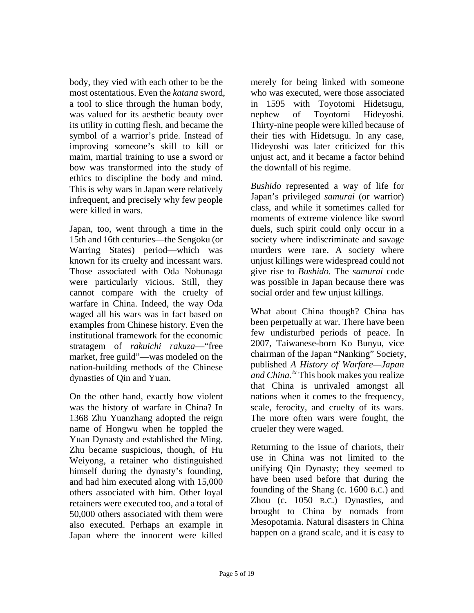body, they vied with each other to be the most ostentatious. Even the *katana* sword, a tool to slice through the human body, was valued for its aesthetic beauty over its utility in cutting flesh, and became the symbol of a warrior's pride. Instead of improving someone's skill to kill or maim, martial training to use a sword or bow was transformed into the study of ethics to discipline the body and mind. This is why wars in Japan were relatively infrequent, and precisely why few people were killed in wars.

Japan, too, went through a time in the 15th and 16th centuries—the Sengoku (or Warring States) period—which was known for its cruelty and incessant wars. Those associated with Oda Nobunaga were particularly vicious. Still, they cannot compare with the cruelty of warfare in China. Indeed, the way Oda waged all his wars was in fact based on examples from Chinese history. Even the institutional framework for the economic stratagem of *rakuichi rakuza*—"free market, free guild"—was modeled on the nation-building methods of the Chinese dynasties of Qin and Yuan.

On the other hand, exactly how violent was the history of warfare in China? In 1368 Zhu Yuanzhang adopted the reign name of Hongwu when he toppled the Yuan Dynasty and established the Ming. Zhu became suspicious, though, of Hu Weiyong, a retainer who distinguished himself during the dynasty's founding, and had him executed along with 15,000 others associated with him. Other loyal retainers were executed too, and a total of 50,000 others associated with them were also executed. Perhaps an example in Japan where the innocent were killed

merely for being linked with someone who was executed, were those associated in 1595 with Toyotomi Hidetsugu, nephew of Toyotomi Hideyoshi. Thirty-nine people were killed because of their ties with Hidetsugu. In any case, Hideyoshi was later criticized for this unjust act, and it became a factor behind the downfall of his regime.

*Bushido* represented a way of life for Japan's privileged *samurai* (or warrior) class, and while it sometimes called for moments of extreme violence like sword duels, such spirit could only occur in a society where indiscriminate and savage murders were rare. A society where unjust killings were widespread could not give rise to *Bushido*. The *samurai* code was possible in Japan because there was social order and few unjust killings.

What about China though? China has been perpetually at war. There have been few undisturbed periods of peace. In 2007, Taiwanese-born Ko Bunyu, vice chairman of the Japan "Nanking" Society, published *A History of Warfare—Japan and China.ix* This book makes you realize that China is unrivaled amongst all nations when it comes to the frequency, scale, ferocity, and cruelty of its wars. The more often wars were fought, the crueler they were waged.

Returning to the issue of chariots, their use in China was not limited to the unifying Qin Dynasty; they seemed to have been used before that during the founding of the Shang (c. 1600 B.C.) and Zhou (c. 1050 B.C.) Dynasties, and brought to China by nomads from Mesopotamia. Natural disasters in China happen on a grand scale, and it is easy to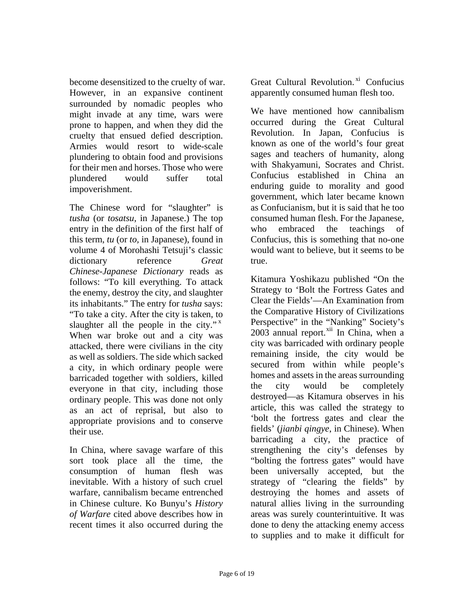become desensitized to the cruelty of war. However, in an expansive continent surrounded by nomadic peoples who might invade at any time, wars were prone to happen, and when they did the cruelty that ensued defied description. Armies would resort to wide-scale plundering to obtain food and provisions for their men and horses. Those who were plundered would suffer total impoverishment.

The Chinese word for "slaughter" is *tusha* (or *tosatsu*, in Japanese.) The top entry in the definition of the first half of this term, *tu* (or *to,* in Japanese), found in volume 4 of Morohashi Tetsuji's classic dictionary reference *Great Chinese-Japanese Dictionary* reads as follows: "To kill everything. To attack the enemy, destroy the city, and slaughter its inhabitants." The entry for *tusha* says: "To take a city. After the city is taken, to slaughter all the people in the city." $x^2$ When war broke out and a city was attacked, there were civilians in the city as well as soldiers. The side which sacked a city, in which ordinary people were barricaded together with soldiers, killed everyone in that city, including those ordinary people. This was done not only as an act of reprisal, but also to appropriate provisions and to conserve their use.

In China, where savage warfare of this sort took place all the time, the consumption of human flesh was inevitable. With a history of such cruel warfare, cannibalism became entrenched in Chinese culture. Ko Bunyu's *History of Warfare* cited above describes how in recent times it also occurred during the

Great Cultural Revolution.<sup>xi</sup> Confucius apparently consumed human flesh too.

We have mentioned how cannibalism occurred during the Great Cultural Revolution. In Japan, Confucius is known as one of the world's four great sages and teachers of humanity, along with Shakyamuni, Socrates and Christ. Confucius established in China an enduring guide to morality and good government, which later became known as Confucianism, but it is said that he too consumed human flesh. For the Japanese, who embraced the teachings of Confucius, this is something that no-one would want to believe, but it seems to be true.

Kitamura Yoshikazu published "On the Strategy to 'Bolt the Fortress Gates and Clear the Fields'—An Examination from the Comparative History of Civilizations Perspective" in the "Nanking" Society's  $2003$  annual report.<sup>xii</sup> In China, when a city was barricaded with ordinary people remaining inside, the city would be secured from within while people's homes and assets in the areas surrounding the city would be completely destroyed—as Kitamura observes in his article, this was called the strategy to 'bolt the fortress gates and clear the fields' (*jianbi qingye*, in Chinese). When barricading a city, the practice of strengthening the city's defenses by "bolting the fortress gates" would have been universally accepted, but the strategy of "clearing the fields" by destroying the homes and assets of natural allies living in the surrounding areas was surely counterintuitive. It was done to deny the attacking enemy access to supplies and to make it difficult for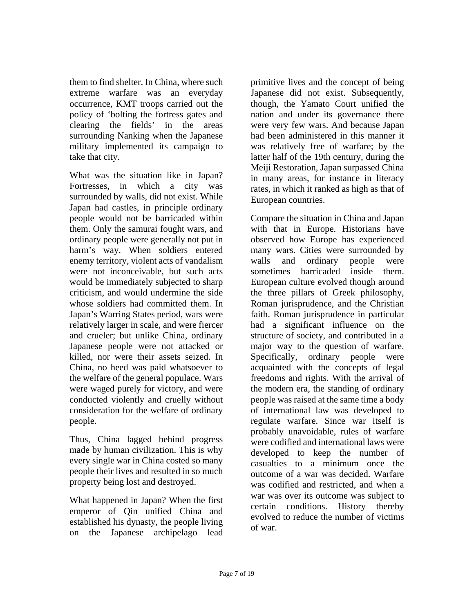them to find shelter. In China, where such extreme warfare was an everyday occurrence, KMT troops carried out the policy of 'bolting the fortress gates and clearing the fields' in the areas surrounding Nanking when the Japanese military implemented its campaign to take that city.

What was the situation like in Japan? Fortresses, in which a city was surrounded by walls, did not exist. While Japan had castles, in principle ordinary people would not be barricaded within them. Only the samurai fought wars, and ordinary people were generally not put in harm's way. When soldiers entered enemy territory, violent acts of vandalism were not inconceivable, but such acts would be immediately subjected to sharp criticism, and would undermine the side whose soldiers had committed them. In Japan's Warring States period, wars were relatively larger in scale, and were fiercer and crueler; but unlike China, ordinary Japanese people were not attacked or killed, nor were their assets seized. In China, no heed was paid whatsoever to the welfare of the general populace. Wars were waged purely for victory, and were conducted violently and cruelly without consideration for the welfare of ordinary people.

Thus, China lagged behind progress made by human civilization. This is why every single war in China costed so many people their lives and resulted in so much property being lost and destroyed.

What happened in Japan? When the first emperor of Qin unified China and established his dynasty, the people living on the Japanese archipelago lead primitive lives and the concept of being Japanese did not exist. Subsequently, though, the Yamato Court unified the nation and under its governance there were very few wars. And because Japan had been administered in this manner it was relatively free of warfare; by the latter half of the 19th century, during the Meiji Restoration, Japan surpassed China in many areas, for instance in literacy rates, in which it ranked as high as that of European countries.

Compare the situation in China and Japan with that in Europe. Historians have observed how Europe has experienced many wars. Cities were surrounded by walls and ordinary people were sometimes barricaded inside them. European culture evolved though around the three pillars of Greek philosophy, Roman jurisprudence, and the Christian faith. Roman jurisprudence in particular had a significant influence on the structure of society, and contributed in a major way to the question of warfare. Specifically, ordinary people were acquainted with the concepts of legal freedoms and rights. With the arrival of the modern era, the standing of ordinary people was raised at the same time a body of international law was developed to regulate warfare. Since war itself is probably unavoidable, rules of warfare were codified and international laws were developed to keep the number of casualties to a minimum once the outcome of a war was decided. Warfare was codified and restricted, and when a war was over its outcome was subject to certain conditions. History thereby evolved to reduce the number of victims of war.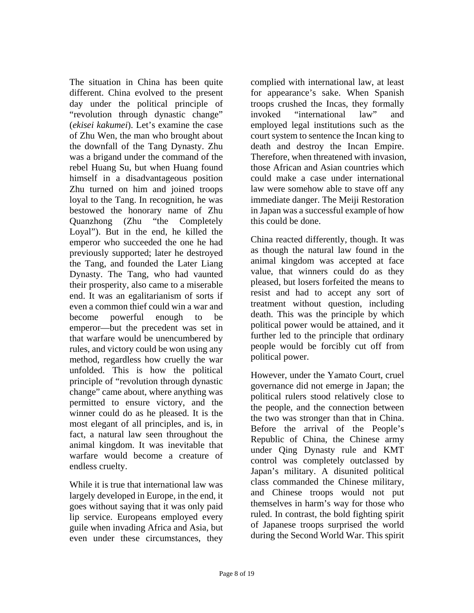The situation in China has been quite different. China evolved to the present day under the political principle of "revolution through dynastic change" (*ekisei kakumei*). Let's examine the case of Zhu Wen, the man who brought about the downfall of the Tang Dynasty. Zhu was a brigand under the command of the rebel Huang Su, but when Huang found himself in a disadvantageous position Zhu turned on him and joined troops loyal to the Tang. In recognition, he was bestowed the honorary name of Zhu Quanzhong (Zhu "the Completely Loyal"). But in the end, he killed the emperor who succeeded the one he had previously supported; later he destroyed the Tang, and founded the Later Liang Dynasty. The Tang, who had vaunted their prosperity, also came to a miserable end. It was an egalitarianism of sorts if even a common thief could win a war and become powerful enough to be emperor—but the precedent was set in that warfare would be unencumbered by rules, and victory could be won using any method, regardless how cruelly the war unfolded. This is how the political principle of "revolution through dynastic change" came about, where anything was permitted to ensure victory, and the winner could do as he pleased. It is the most elegant of all principles, and is, in fact, a natural law seen throughout the animal kingdom. It was inevitable that warfare would become a creature of endless cruelty.

While it is true that international law was largely developed in Europe, in the end, it goes without saying that it was only paid lip service. Europeans employed every guile when invading Africa and Asia, but even under these circumstances, they

complied with international law, at least for appearance's sake. When Spanish troops crushed the Incas, they formally invoked "international law" and employed legal institutions such as the court system to sentence the Incan king to death and destroy the Incan Empire. Therefore, when threatened with invasion, those African and Asian countries which could make a case under international law were somehow able to stave off any immediate danger. The Meiji Restoration in Japan was a successful example of how this could be done.

China reacted differently, though. It was as though the natural law found in the animal kingdom was accepted at face value, that winners could do as they pleased, but losers forfeited the means to resist and had to accept any sort of treatment without question, including death. This was the principle by which political power would be attained, and it further led to the principle that ordinary people would be forcibly cut off from political power.

However, under the Yamato Court, cruel governance did not emerge in Japan; the political rulers stood relatively close to the people, and the connection between the two was stronger than that in China. Before the arrival of the People's Republic of China, the Chinese army under Qing Dynasty rule and KMT control was completely outclassed by Japan's military. A disunited political class commanded the Chinese military, and Chinese troops would not put themselves in harm's way for those who ruled. In contrast, the bold fighting spirit of Japanese troops surprised the world during the Second World War. This spirit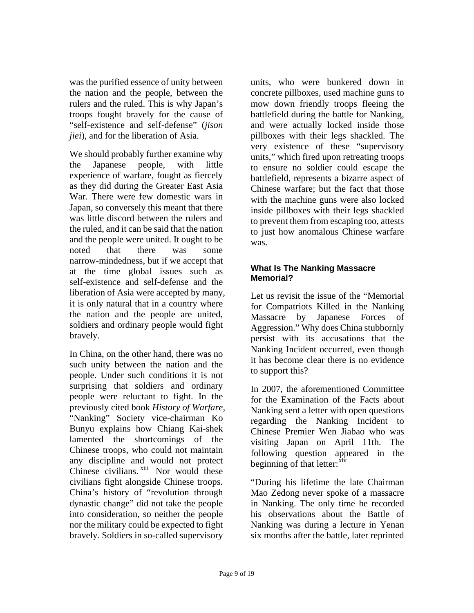was the purified essence of unity between the nation and the people, between the rulers and the ruled. This is why Japan's troops fought bravely for the cause of "self-existence and self-defense" (*jison jiei*), and for the liberation of Asia.

We should probably further examine why the Japanese people, with little experience of warfare, fought as fiercely as they did during the Greater East Asia War. There were few domestic wars in Japan, so conversely this meant that there was little discord between the rulers and the ruled, and it can be said that the nation and the people were united. It ought to be noted that there was some narrow-mindedness, but if we accept that at the time global issues such as self-existence and self-defense and the liberation of Asia were accepted by many, it is only natural that in a country where the nation and the people are united, soldiers and ordinary people would fight bravely.

In China, on the other hand, there was no such unity between the nation and the people. Under such conditions it is not surprising that soldiers and ordinary people were reluctant to fight. In the previously cited book *History of Warfare*, "Nanking" Society vice-chairman Ko Bunyu explains how Chiang Kai-shek lamented the shortcomings of the Chinese troops, who could not maintain any discipline and would not protect Chinese civilians. <sup>xiii</sup> Nor would these civilians fight alongside Chinese troops. China's history of "revolution through dynastic change" did not take the people into consideration, so neither the people nor the military could be expected to fight bravely. Soldiers in so-called supervisory

units, who were bunkered down in concrete pillboxes, used machine guns to mow down friendly troops fleeing the battlefield during the battle for Nanking, and were actually locked inside those pillboxes with their legs shackled. The very existence of these "supervisory units," which fired upon retreating troops to ensure no soldier could escape the battlefield, represents a bizarre aspect of Chinese warfare; but the fact that those with the machine guns were also locked inside pillboxes with their legs shackled to prevent them from escaping too, attests to just how anomalous Chinese warfare was.

# **What Is The Nanking Massacre Memorial?**

Let us revisit the issue of the "Memorial" for Compatriots Killed in the Nanking Massacre by Japanese Forces of Aggression." Why does China stubbornly persist with its accusations that the Nanking Incident occurred, even though it has become clear there is no evidence to support this?

In 2007, the aforementioned Committee for the Examination of the Facts about Nanking sent a letter with open questions regarding the Nanking Incident to Chinese Premier Wen Jiabao who was visiting Japan on April 11th. The following question appeared in the beginning of that letter: $\frac{xiv}{ }$ 

"During his lifetime the late Chairman Mao Zedong never spoke of a massacre in Nanking. The only time he recorded his observations about the Battle of Nanking was during a lecture in Yenan six months after the battle, later reprinted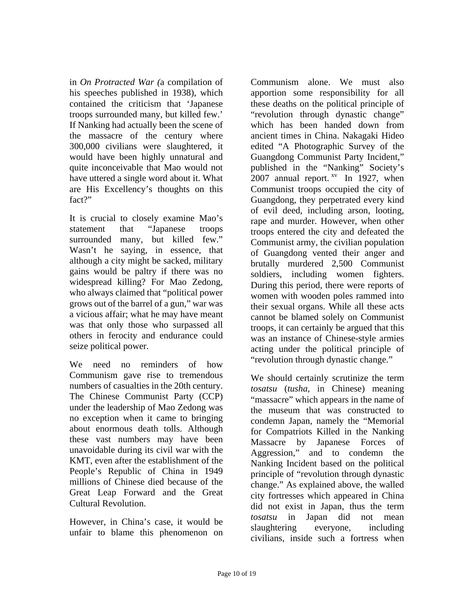in *On Protracted War (*a compilation of his speeches published in 1938), which contained the criticism that 'Japanese troops surrounded many, but killed few.' If Nanking had actually been the scene of the massacre of the century where 300,000 civilians were slaughtered, it would have been highly unnatural and quite inconceivable that Mao would not have uttered a single word about it. What are His Excellency's thoughts on this fact?"

It is crucial to closely examine Mao's statement that "Japanese troops surrounded many, but killed few." Wasn't he saying, in essence, that although a city might be sacked, military gains would be paltry if there was no widespread killing? For Mao Zedong, who always claimed that "political power grows out of the barrel of a gun," war was a vicious affair; what he may have meant was that only those who surpassed all others in ferocity and endurance could seize political power.

We need no reminders of how Communism gave rise to tremendous numbers of casualties in the 20th century. The Chinese Communist Party (CCP) under the leadership of Mao Zedong was no exception when it came to bringing about enormous death tolls. Although these vast numbers may have been unavoidable during its civil war with the KMT, even after the establishment of the People's Republic of China in 1949 millions of Chinese died because of the Great Leap Forward and the Great Cultural Revolution.

However, in China's case, it would be unfair to blame this phenomenon on Communism alone. We must also apportion some responsibility for all these deaths on the political principle of "revolution through dynastic change" which has been handed down from ancient times in China. Nakagaki Hideo edited "A Photographic Survey of the Guangdong Communist Party Incident," published in the "Nanking" Society's 2007 annual report.  $x^v$  In 1927, when Communist troops occupied the city of Guangdong, they perpetrated every kind of evil deed, including arson, looting, rape and murder. However, when other troops entered the city and defeated the Communist army, the civilian population of Guangdong vented their anger and brutally murdered 2,500 Communist soldiers, including women fighters. During this period, there were reports of women with wooden poles rammed into their sexual organs. While all these acts cannot be blamed solely on Communist troops, it can certainly be argued that this was an instance of Chinese-style armies acting under the political principle of "revolution through dynastic change."

We should certainly scrutinize the term *tosatsu* (*tusha*, in Chinese) meaning "massacre" which appears in the name of the museum that was constructed to condemn Japan, namely the "Memorial for Compatriots Killed in the Nanking Massacre by Japanese Forces of Aggression," and to condemn the Nanking Incident based on the political principle of "revolution through dynastic change." As explained above, the walled city fortresses which appeared in China did not exist in Japan, thus the term *tosatsu* in Japan did not mean slaughtering everyone, including civilians, inside such a fortress when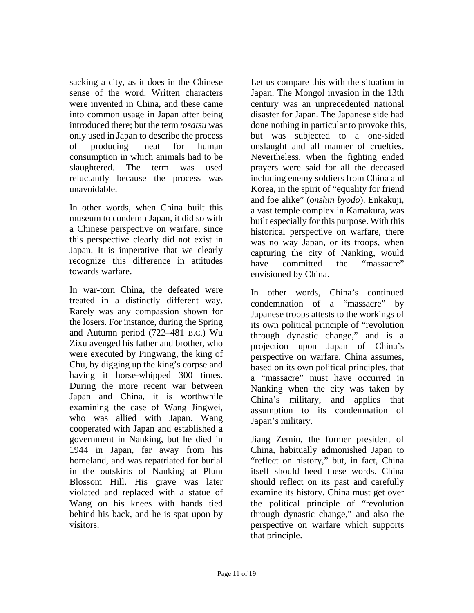sacking a city, as it does in the Chinese sense of the word. Written characters were invented in China, and these came into common usage in Japan after being introduced there; but the term *tosatsu* was only used in Japan to describe the process of producing meat for human consumption in which animals had to be slaughtered. The term was used reluctantly because the process was unavoidable.

In other words, when China built this museum to condemn Japan, it did so with a Chinese perspective on warfare, since this perspective clearly did not exist in Japan. It is imperative that we clearly recognize this difference in attitudes towards warfare.

In war-torn China, the defeated were treated in a distinctly different way. Rarely was any compassion shown for the losers. For instance, during the Spring and Autumn period (722–481 B.C.) Wu Zixu avenged his father and brother, who were executed by Pingwang, the king of Chu, by digging up the king's corpse and having it horse-whipped 300 times. During the more recent war between Japan and China, it is worthwhile examining the case of Wang Jingwei, who was allied with Japan. Wang cooperated with Japan and established a government in Nanking, but he died in 1944 in Japan, far away from his homeland, and was repatriated for burial in the outskirts of Nanking at Plum Blossom Hill. His grave was later violated and replaced with a statue of Wang on his knees with hands tied behind his back, and he is spat upon by visitors.

Let us compare this with the situation in Japan. The Mongol invasion in the 13th century was an unprecedented national disaster for Japan. The Japanese side had done nothing in particular to provoke this, but was subjected to a one-sided onslaught and all manner of cruelties. Nevertheless, when the fighting ended prayers were said for all the deceased including enemy soldiers from China and Korea, in the spirit of "equality for friend and foe alike" (*onshin byodo*). Enkakuji, a vast temple complex in Kamakura, was built especially for this purpose. With this historical perspective on warfare, there was no way Japan, or its troops, when capturing the city of Nanking, would have committed the "massacre" envisioned by China.

In other words, China's continued condemnation of a "massacre" by Japanese troops attests to the workings of its own political principle of "revolution through dynastic change," and is a projection upon Japan of China's perspective on warfare. China assumes, based on its own political principles, that a "massacre" must have occurred in Nanking when the city was taken by China's military, and applies that assumption to its condemnation of Japan's military.

Jiang Zemin, the former president of China, habitually admonished Japan to "reflect on history," but, in fact, China itself should heed these words. China should reflect on its past and carefully examine its history. China must get over the political principle of "revolution through dynastic change," and also the perspective on warfare which supports that principle.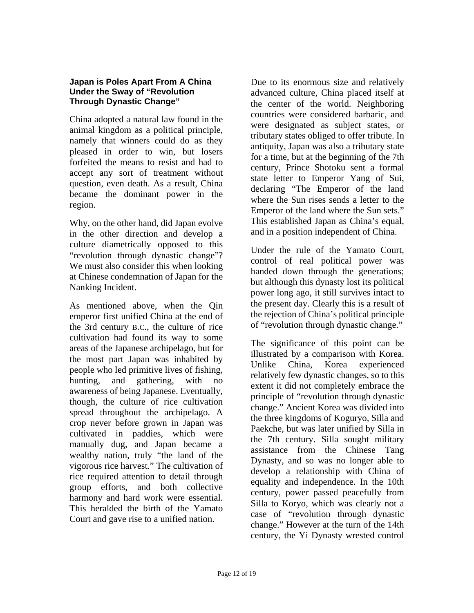## **Japan is Poles Apart From A China Under the Sway of "Revolution Through Dynastic Change"**

China adopted a natural law found in the animal kingdom as a political principle, namely that winners could do as they pleased in order to win, but losers forfeited the means to resist and had to accept any sort of treatment without question, even death. As a result, China became the dominant power in the region.

Why, on the other hand, did Japan evolve in the other direction and develop a culture diametrically opposed to this "revolution through dynastic change"? We must also consider this when looking at Chinese condemnation of Japan for the Nanking Incident.

As mentioned above, when the Qin emperor first unified China at the end of the 3rd century B.C., the culture of rice cultivation had found its way to some areas of the Japanese archipelago, but for the most part Japan was inhabited by people who led primitive lives of fishing, hunting, and gathering, with no awareness of being Japanese. Eventually, though, the culture of rice cultivation spread throughout the archipelago. A crop never before grown in Japan was cultivated in paddies, which were manually dug, and Japan became a wealthy nation, truly "the land of the vigorous rice harvest." The cultivation of rice required attention to detail through group efforts, and both collective harmony and hard work were essential. This heralded the birth of the Yamato Court and gave rise to a unified nation.

Due to its enormous size and relatively advanced culture, China placed itself at the center of the world. Neighboring countries were considered barbaric, and were designated as subject states, or tributary states obliged to offer tribute. In antiquity, Japan was also a tributary state for a time, but at the beginning of the 7th century, Prince Shotoku sent a formal state letter to Emperor Yang of Sui, declaring "The Emperor of the land where the Sun rises sends a letter to the Emperor of the land where the Sun sets." This established Japan as China's equal, and in a position independent of China.

Under the rule of the Yamato Court, control of real political power was handed down through the generations; but although this dynasty lost its political power long ago, it still survives intact to the present day. Clearly this is a result of the rejection of China's political principle of "revolution through dynastic change."

The significance of this point can be illustrated by a comparison with Korea. Unlike China, Korea experienced relatively few dynastic changes, so to this extent it did not completely embrace the principle of "revolution through dynastic change." Ancient Korea was divided into the three kingdoms of Koguryo, Silla and Paekche, but was later unified by Silla in the 7th century. Silla sought military assistance from the Chinese Tang Dynasty, and so was no longer able to develop a relationship with China of equality and independence. In the 10th century, power passed peacefully from Silla to Koryo, which was clearly not a case of "revolution through dynastic change." However at the turn of the 14th century, the Yi Dynasty wrested control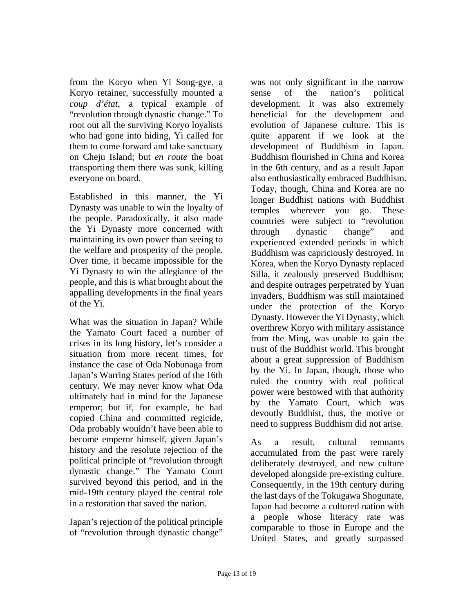from the Koryo when Yi Song-gye, a Koryo retainer, successfully mounted a *coup d'état*, a typical example of "revolution through dynastic change." To root out all the surviving Koryo loyalists who had gone into hiding, Yi called for them to come forward and take sanctuary on Cheju Island; but *en route* the boat transporting them there was sunk, killing everyone on board.

Established in this manner, the Yi Dynasty was unable to win the loyalty of the people. Paradoxically, it also made the Yi Dynasty more concerned with maintaining its own power than seeing to the welfare and prosperity of the people. Over time, it became impossible for the Yi Dynasty to win the allegiance of the people, and this is what brought about the appalling developments in the final years of the Yi.

What was the situation in Japan? While the Yamato Court faced a number of crises in its long history, let's consider a situation from more recent times, for instance the case of Oda Nobunaga from Japan's Warring States period of the 16th century. We may never know what Oda ultimately had in mind for the Japanese emperor; but if, for example, he had copied China and committed regicide, Oda probably wouldn't have been able to become emperor himself, given Japan's history and the resolute rejection of the political principle of "revolution through dynastic change." The Yamato Court survived beyond this period, and in the mid-19th century played the central role in a restoration that saved the nation.

Japan's rejection of the political principle of "revolution through dynastic change"

was not only significant in the narrow sense of the nation's political development. It was also extremely beneficial for the development and evolution of Japanese culture. This is quite apparent if we look at the development of Buddhism in Japan. Buddhism flourished in China and Korea in the 6th century, and as a result Japan also enthusiastically embraced Buddhism. Today, though, China and Korea are no longer Buddhist nations with Buddhist temples wherever you go. These countries were subject to "revolution through dynastic change" and experienced extended periods in which Buddhism was capriciously destroyed. In Korea, when the Koryo Dynasty replaced Silla, it zealously preserved Buddhism; and despite outrages perpetrated by Yuan invaders, Buddhism was still maintained under the protection of the Koryo Dynasty. However the Yi Dynasty, which overthrew Koryo with military assistance from the Ming, was unable to gain the trust of the Buddhist world. This brought about a great suppression of Buddhism by the Yi. In Japan, though, those who ruled the country with real political power were bestowed with that authority by the Yamato Court, which was devoutly Buddhist, thus, the motive or need to suppress Buddhism did not arise.

As a result, cultural remnants accumulated from the past were rarely deliberately destroyed, and new culture developed alongside pre-existing culture. Consequently, in the 19th century during the last days of the Tokugawa Shogunate, Japan had become a cultured nation with a people whose literacy rate was comparable to those in Europe and the United States, and greatly surpassed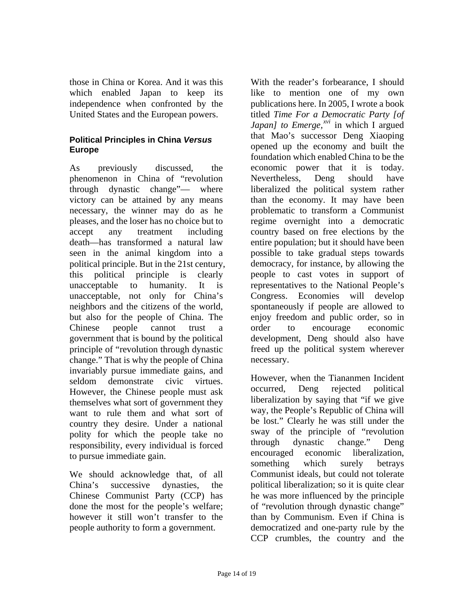those in China or Korea. And it was this which enabled Japan to keep its independence when confronted by the United States and the European powers.

# **Political Principles in China** *Versus* **Europe**

As previously discussed, the phenomenon in China of "revolution through dynastic change"— where victory can be attained by any means necessary, the winner may do as he pleases, and the loser has no choice but to accept any treatment including death—has transformed a natural law seen in the animal kingdom into a political principle. But in the 21st century, this political principle is clearly unacceptable to humanity. It is unacceptable, not only for China's neighbors and the citizens of the world, but also for the people of China. The Chinese people cannot trust a government that is bound by the political principle of "revolution through dynastic change." That is why the people of China invariably pursue immediate gains, and seldom demonstrate civic virtues. However, the Chinese people must ask themselves what sort of government they want to rule them and what sort of country they desire. Under a national polity for which the people take no responsibility, every individual is forced to pursue immediate gain.

We should acknowledge that, of all China's successive dynasties, the Chinese Communist Party (CCP) has done the most for the people's welfare; however it still won't transfer to the people authority to form a government.

With the reader's forbearance, I should like to mention one of my own publications here. In 2005, I wrote a book titled *Time For a Democratic Party [of Japan] to Emerge,*<sup>*xvi*</sup> in which I argued that Mao's successor Deng Xiaoping opened up the economy and built the foundation which enabled China to be the economic power that it is today. Nevertheless, Deng should have liberalized the political system rather than the economy. It may have been problematic to transform a Communist regime overnight into a democratic country based on free elections by the entire population; but it should have been possible to take gradual steps towards democracy, for instance, by allowing the people to cast votes in support of representatives to the National People's Congress. Economies will develop spontaneously if people are allowed to enjoy freedom and public order, so in order to encourage economic development, Deng should also have freed up the political system wherever necessary.

However, when the Tiananmen Incident occurred, Deng rejected political liberalization by saying that "if we give way, the People's Republic of China will be lost." Clearly he was still under the sway of the principle of "revolution through dynastic change." Deng encouraged economic liberalization, something which surely betrays Communist ideals, but could not tolerate political liberalization; so it is quite clear he was more influenced by the principle of "revolution through dynastic change" than by Communism. Even if China is democratized and one-party rule by the CCP crumbles, the country and the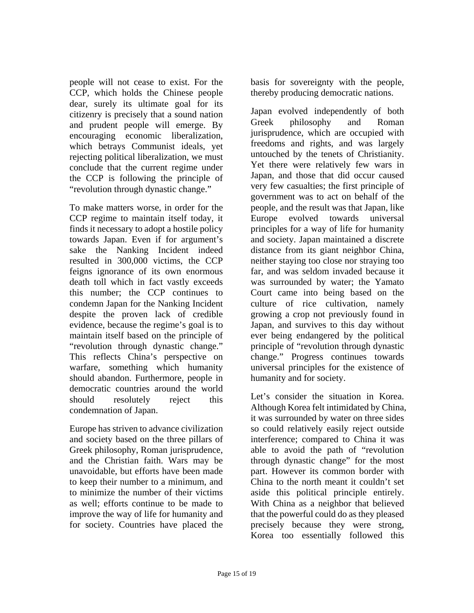people will not cease to exist. For the CCP, which holds the Chinese people dear, surely its ultimate goal for its citizenry is precisely that a sound nation and prudent people will emerge. By encouraging economic liberalization, which betrays Communist ideals, yet rejecting political liberalization, we must conclude that the current regime under the CCP is following the principle of "revolution through dynastic change."

To make matters worse, in order for the CCP regime to maintain itself today, it finds it necessary to adopt a hostile policy towards Japan. Even if for argument's sake the Nanking Incident indeed resulted in 300,000 victims, the CCP feigns ignorance of its own enormous death toll which in fact vastly exceeds this number; the CCP continues to condemn Japan for the Nanking Incident despite the proven lack of credible evidence, because the regime's goal is to maintain itself based on the principle of "revolution through dynastic change." This reflects China's perspective on warfare, something which humanity should abandon. Furthermore, people in democratic countries around the world should resolutely reject this condemnation of Japan.

Europe has striven to advance civilization and society based on the three pillars of Greek philosophy, Roman jurisprudence, and the Christian faith. Wars may be unavoidable, but efforts have been made to keep their number to a minimum, and to minimize the number of their victims as well; efforts continue to be made to improve the way of life for humanity and for society. Countries have placed the

basis for sovereignty with the people, thereby producing democratic nations.

Japan evolved independently of both Greek philosophy and Roman jurisprudence, which are occupied with freedoms and rights, and was largely untouched by the tenets of Christianity. Yet there were relatively few wars in Japan, and those that did occur caused very few casualties; the first principle of government was to act on behalf of the people, and the result was that Japan, like Europe evolved towards universal principles for a way of life for humanity and society. Japan maintained a discrete distance from its giant neighbor China, neither staying too close nor straying too far, and was seldom invaded because it was surrounded by water; the Yamato Court came into being based on the culture of rice cultivation, namely growing a crop not previously found in Japan, and survives to this day without ever being endangered by the political principle of "revolution through dynastic change." Progress continues towards universal principles for the existence of humanity and for society.

Let's consider the situation in Korea. Although Korea felt intimidated by China, it was surrounded by water on three sides so could relatively easily reject outside interference; compared to China it was able to avoid the path of "revolution through dynastic change" for the most part. However its common border with China to the north meant it couldn't set aside this political principle entirely. With China as a neighbor that believed that the powerful could do as they pleased precisely because they were strong, Korea too essentially followed this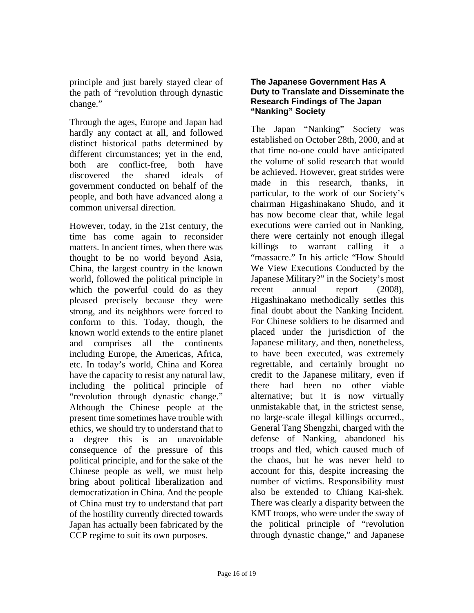principle and just barely stayed clear of the path of "revolution through dynastic change."

Through the ages, Europe and Japan had hardly any contact at all, and followed distinct historical paths determined by different circumstances; yet in the end, both are conflict-free, both have discovered the shared ideals of government conducted on behalf of the people, and both have advanced along a common universal direction.

However, today, in the 21st century, the time has come again to reconsider matters. In ancient times, when there was thought to be no world beyond Asia, China, the largest country in the known world, followed the political principle in which the powerful could do as they pleased precisely because they were strong, and its neighbors were forced to conform to this. Today, though, the known world extends to the entire planet and comprises all the continents including Europe, the Americas, Africa, etc. In today's world, China and Korea have the capacity to resist any natural law, including the political principle of "revolution through dynastic change." Although the Chinese people at the present time sometimes have trouble with ethics, we should try to understand that to a degree this is an unavoidable consequence of the pressure of this political principle, and for the sake of the Chinese people as well, we must help bring about political liberalization and democratization in China. And the people of China must try to understand that part of the hostility currently directed towards Japan has actually been fabricated by the CCP regime to suit its own purposes.

#### **The Japanese Government Has A Duty to Translate and Disseminate the Research Findings of The Japan "Nanking" Society**

The Japan "Nanking" Society was established on October 28th, 2000, and at that time no-one could have anticipated the volume of solid research that would be achieved. However, great strides were made in this research, thanks, in particular, to the work of our Society's chairman Higashinakano Shudo, and it has now become clear that, while legal executions were carried out in Nanking, there were certainly not enough illegal killings to warrant calling it a "massacre." In his article "How Should We View Executions Conducted by the Japanese Military?" in the Society's most recent annual report (2008), Higashinakano methodically settles this final doubt about the Nanking Incident. For Chinese soldiers to be disarmed and placed under the jurisdiction of the Japanese military, and then, nonetheless, to have been executed, was extremely regrettable, and certainly brought no credit to the Japanese military, even if there had been no other viable alternative; but it is now virtually unmistakable that, in the strictest sense, no large-scale illegal killings occurred., General Tang Shengzhi, charged with the defense of Nanking, abandoned his troops and fled, which caused much of the chaos, but he was never held to account for this, despite increasing the number of victims. Responsibility must also be extended to Chiang Kai-shek. There was clearly a disparity between the KMT troops, who were under the sway of the political principle of "revolution through dynastic change," and Japanese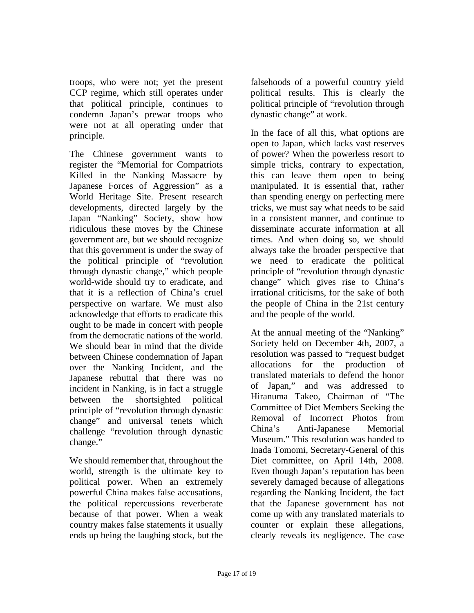troops, who were not; yet the present CCP regime, which still operates under that political principle, continues to condemn Japan's prewar troops who were not at all operating under that principle.

The Chinese government wants to register the "Memorial for Compatriots Killed in the Nanking Massacre by Japanese Forces of Aggression" as a World Heritage Site. Present research developments, directed largely by the Japan "Nanking" Society, show how ridiculous these moves by the Chinese government are, but we should recognize that this government is under the sway of the political principle of "revolution through dynastic change," which people world-wide should try to eradicate, and that it is a reflection of China's cruel perspective on warfare. We must also acknowledge that efforts to eradicate this ought to be made in concert with people from the democratic nations of the world. We should bear in mind that the divide between Chinese condemnation of Japan over the Nanking Incident, and the Japanese rebuttal that there was no incident in Nanking, is in fact a struggle between the shortsighted political principle of "revolution through dynastic change" and universal tenets which challenge "revolution through dynastic change."

We should remember that, throughout the world, strength is the ultimate key to political power. When an extremely powerful China makes false accusations, the political repercussions reverberate because of that power. When a weak country makes false statements it usually ends up being the laughing stock, but the

falsehoods of a powerful country yield political results. This is clearly the political principle of "revolution through dynastic change" at work.

In the face of all this, what options are open to Japan, which lacks vast reserves of power? When the powerless resort to simple tricks, contrary to expectation, this can leave them open to being manipulated. It is essential that, rather than spending energy on perfecting mere tricks, we must say what needs to be said in a consistent manner, and continue to disseminate accurate information at all times. And when doing so, we should always take the broader perspective that we need to eradicate the political principle of "revolution through dynastic change" which gives rise to China's irrational criticisms, for the sake of both the people of China in the 21st century and the people of the world.

At the annual meeting of the "Nanking" Society held on December 4th, 2007, a resolution was passed to "request budget allocations for the production of translated materials to defend the honor of Japan," and was addressed to Hiranuma Takeo, Chairman of "The Committee of Diet Members Seeking the Removal of Incorrect Photos from China's Anti-Japanese Memorial Museum." This resolution was handed to Inada Tomomi, Secretary-General of this Diet committee, on April 14th, 2008. Even though Japan's reputation has been severely damaged because of allegations regarding the Nanking Incident, the fact that the Japanese government has not come up with any translated materials to counter or explain these allegations, clearly reveals its negligence. The case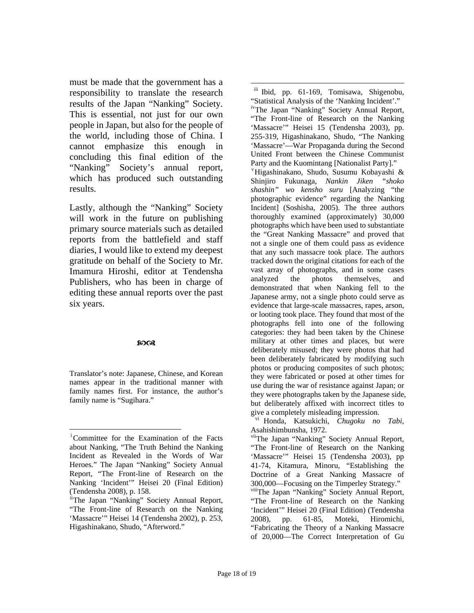<span id="page-17-1"></span>must be made that the government has a responsibility to translate the research results of the Japan "Nanking" Society. This is essential, not just for our own people in Japan, but also for the people of the world, including those of China. I cannot emphasize this enough in concluding this final edition of the "Nanking" Society's annual report, which has produced such outstanding results.

Lastly, although the "Nanking" Society will work in the future on publishing primary source materials such as detailed reports from the battlefield and staff diaries, I would like to extend my deepest gratitude on behalf of the Society to Mr. Imamura Hiroshi, editor at Tendensha Publishers, who has been in charge of editing these annual reports over the past six years.

#### $50<sup>o</sup>$

Translator's note: Japanese, Chinese, and Korean names appear in the traditional manner with family names first. For instance, the author's family name is "Sugihara."

 $\overline{a}$ iii Ibid, pp. 61-169, Tomisawa, Shigenobu, "Statistical Analysis of the 'Nanking Incident'." ivThe Japan "Nanking" Society Annual Report, "The Front-line of Research on the Nanking 'Massacre'" Heisei 15 (Tendensha 2003), pp. 255-319, Higashinakano, Shudo, "The Nanking 'Massacre'—War Propaganda during the Second United Front between the Chinese Communist Party and the Kuomintang [Nationalist Party]." v Higashinakano, Shudo, Susumu Kobayashi & Shinjiro Fukunaga, *Nankin Jiken "shoko shashin" wo kensho suru* [Analyzing "the photographic evidence" regarding the Nanking Incident] (Soshisha, 2005). The three authors thoroughly examined (approximately) 30,000 photographs which have been used to substantiate the "Great Nanking Massacre" and proved that not a single one of them could pass as evidence that any such massacre took place. The authors tracked down the original citations for each of the vast array of photographs, and in some cases analyzed the photos themselves, and demonstrated that when Nanking fell to the Japanese army, not a single photo could serve as evidence that large-scale massacres, rapes, arson, or looting took place. They found that most of the photographs fell into one of the following categories: they had been taken by the Chinese military at other times and places, but were deliberately misused; they were photos that had been deliberately fabricated by modifying such photos or producing composites of such photos; they were fabricated or posed at other times for use during the war of resistance against Japan; or they were photographs taken by the Japanese side, but deliberately affixed with incorrect titles to give a completely misleading impression.

vi Honda, Katsukichi, *Chugoku no Tabi*, Asahishimbunsha, 1972.

<span id="page-17-0"></span> $\overline{a}$ i Committee for the Examination of the Facts about Nanking, "The Truth Behind the Nanking Incident as Revealed in the Words of War Heroes." The Japan "Nanking" Society Annual Report, "The Front-line of Research on the Nanking 'Incident'" Heisei 20 (Final Edition) (Tendensha 2008), p. 158.

iiThe Japan "Nanking" Society Annual Report, "The Front-line of Research on the Nanking 'Massacre'" Heisei 14 (Tendensha 2002), p. 253, Higashinakano, Shudo, "Afterword."

viiThe Japan "Nanking" Society Annual Report, "The Front-line of Research on the Nanking 'Massacre'" Heisei 15 (Tendensha 2003), pp 41-74, Kitamura, Minoru, "Establishing the Doctrine of a Great Nanking Massacre of 300,000—Focusing on the Timperley Strategy." viiiThe Japan "Nanking" Society Annual Report, "The Front-line of Research on the Nanking 'Incident'" Heisei 20 (Final Edition) (Tendensha 2008), pp. 61-85, Moteki, Hiromichi, "Fabricating the Theory of a Nanking Massacre of 20,000—The Correct Interpretation of Gu